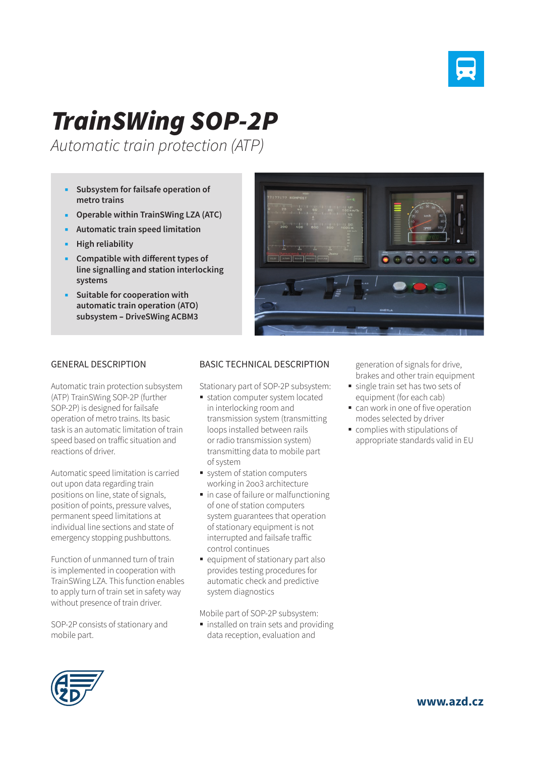

# *TrainSWing SOP-2P*

*Automatic train protection (ATP)* 

- **Subsystem for failsafe operation of metro trains**
- **Operable within TrainSWing LZA (ATC)**
- **Automatic train speed limitation**
- **High reliability**
- **Compatible with different types of line signalling and station interlocking systems**
- **Suitable for cooperation with automatic train operation (ATO) subsystem** – **DriveSWing ACBM3**



### GENERAL DESCRIPTION

Automatic train protection subsystem (ATP) TrainSWing SOP-2P (further SOP-2P) is designed for failsafe operation of metro trains. Its basic task is an automatic limitation of train speed based on traffic situation and reactions of driver.

Automatic speed limitation is carried out upon data regarding train positions on line, state of signals, position of points, pressure valves, permanent speed limitations at individual line sections and state of emergency stopping pushbuttons.

Function of unmanned turn of train is implemented in cooperation with TrainSWing LZA. This function enables to apply turn of train set in safety way without presence of train driver.

SOP-2P consists of stationary and mobile part.

#### BASIC TECHNICAL DESCRIPTION

Stationary part of SOP-2P subsystem:

- **station computer system located** in interlocking room and transmission system (transmitting loops installed between rails or radio transmission system) transmitting data to mobile part of system
- system of station computers working in 2oo3 architecture
- in case of failure or malfunctioning of one of station computers system guarantees that operation of stationary equipment is not interrupted and failsafe traffic control continues
- equipment of stationary part also provides testing procedures for automatic check and predictive system diagnostics

Mobile part of SOP-2P subsystem:

**installed on train sets and providing** data reception, evaluation and

generation of signals for drive, brakes and other train equipment

- single train set has two sets of equipment (for each cab)
- can work in one of five operation modes selected by driver
- complies with stipulations of appropriate standards valid in EU